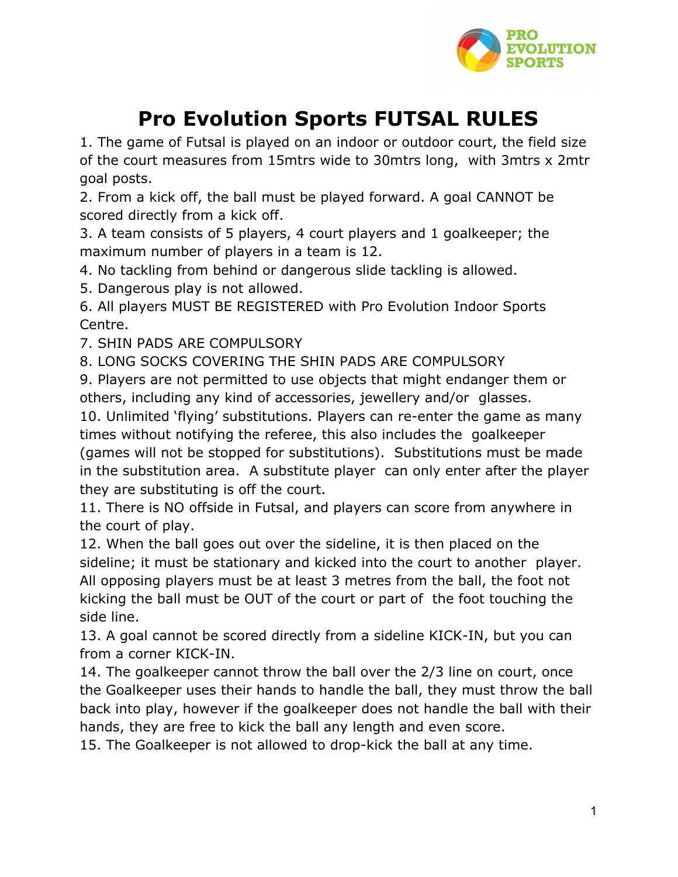

## **Pro Evolution Sports FUTSAL RULES**

1. The game of Futsal is played on an indoor or outdoor court, the field size of the court measures from 15mtrs wide to 30mtrs long, with 3mtrs x 2mtr goal posts.

2. From a kick off, the ball must be played forward. A goal CANNOT be scored directly from a kick off.

3. A team consists of 5 players, 4 court players and 1 goalkeeper; the maximum number of players in a team is 12.

4. No tackling from behind or dangerous slide tackling is allowed.

5. Dangerous play is not allowed.

6. All players MUST BE REGISTERED with Pro Evolution Indoor Sports Centre.

7. SHIN PADS ARE COMPULSORY

8. LONG SOCKS COVERING THE SHIN PADS ARE COMPULSORY

9. Players are not permitted to use objects that might endanger them or others, including any kind of accessories, jewellery and/or glasses.

10. Unlimited 'flying' substitutions. Players can re-enter the game as many times without notifying the referee, this also includes the goalkeeper (games will not be stopped for substitutions). Substitutions must be made in the substitution area. A substitute player can only enter after the player they are substituting is off the court.

11. There is NO offside in Futsal, and players can score from anywhere in the court of play.

12. When the ball goes out over the sideline, it is then placed on the sideline; it must be stationary and kicked into the court to another player. All opposing players must be at least 3 metres from the ball, the foot not kicking the ball must be OUT of the court or part of the foot touching the side line.

13. A goal cannot be scored directly from a sideline KICK-IN, but you can from a corner KICK-IN.

14. The goalkeeper cannot throw the ball over the 2/3 line on court, once the Goalkeeper uses their hands to handle the ball, they must throw the ball back into play, however if the goalkeeper does not handle the ball with their hands, they are free to kick the ball any length and even score.

15. The Goalkeeper is not allowed to drop-kick the ball at any time.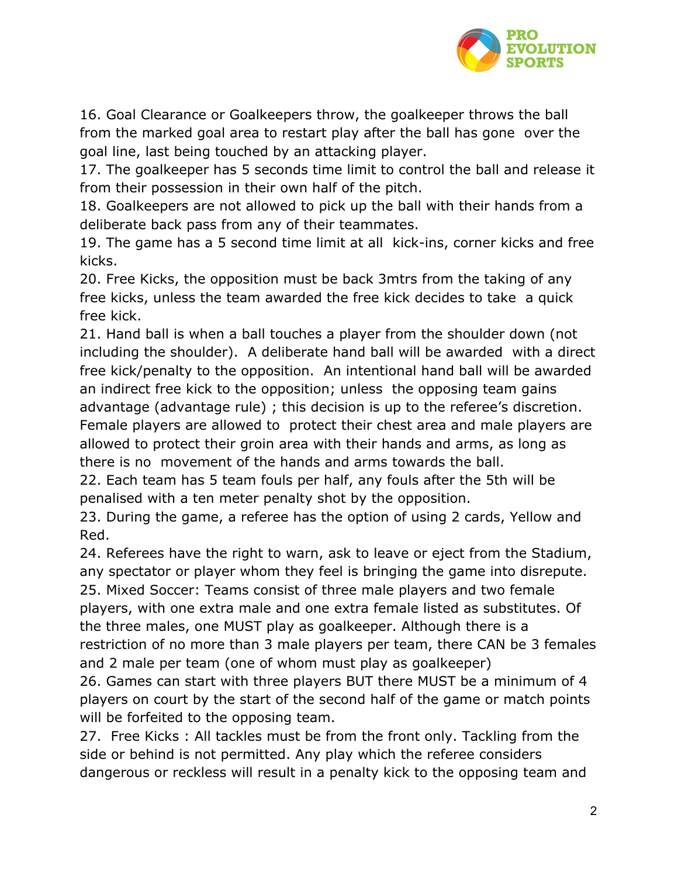

16. Goal Clearance or Goalkeepers throw, the goalkeeper throws the ball from the marked goal area to restart play after the ball has gone over the goal line, last being touched by an attacking player.

17. The goalkeeper has 5 seconds time limit to control the ball and release it from their possession in their own half of the pitch.

18. Goalkeepers are not allowed to pick up the ball with their hands from a deliberate back pass from any of their teammates.

19. The game has a 5 second time limit at all kick-ins, corner kicks and free kicks.

20. Free Kicks, the opposition must be back 3mtrs from the taking of any free kicks, unless the team awarded the free kick decides to take a quick free kick.

21. Hand ball is when a ball touches a player from the shoulder down (not including the shoulder). A deliberate hand ball will be awarded with a direct free kick/penalty to the opposition. An intentional hand ball will be awarded an indirect free kick to the opposition; unless the opposing team gains advantage (advantage rule) ; this decision is up to the referee's discretion. Female players are allowed to protect their chest area and male players are allowed to protect their groin area with their hands and arms, as long as there is no movement of the hands and arms towards the ball.

22. Each team has 5 team fouls per half, any fouls after the 5th will be penalised with a ten meter penalty shot by the opposition.

23. During the game, a referee has the option of using 2 cards, Yellow and Red.

24. Referees have the right to warn, ask to leave or eject from the Stadium, any spectator or player whom they feel is bringing the game into disrepute. 25. Mixed Soccer: Teams consist of three male players and two female players, with one extra male and one extra female listed as substitutes. Of the three males, one MUST play as goalkeeper. Although there is a restriction of no more than 3 male players per team, there CAN be 3 females and 2 male per team (one of whom must play as goalkeeper)

26. Games can start with three players BUT there MUST be a minimum of 4 players on court by the start of the second half of the game or match points will be forfeited to the opposing team.

27. Free Kicks : All tackles must be from the front only. Tackling from the side or behind is not permitted. Any play which the referee considers dangerous or reckless will result in a penalty kick to the opposing team and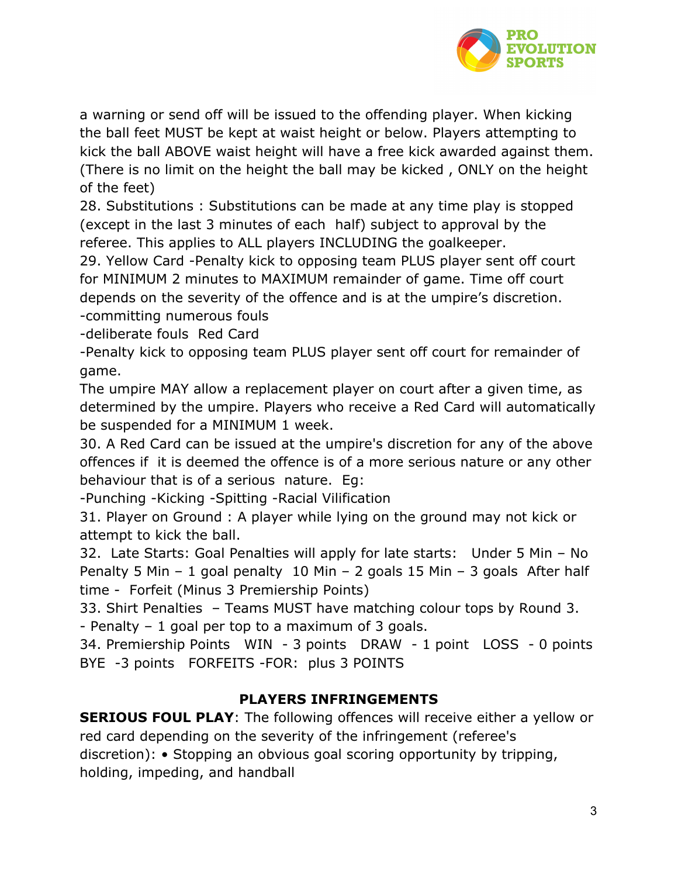

a warning or send off will be issued to the offending player. When kicking the ball feet MUST be kept at waist height or below. Players attempting to kick the ball ABOVE waist height will have a free kick awarded against them. (There is no limit on the height the ball may be kicked , ONLY on the height of the feet)

28. Substitutions : Substitutions can be made at any time play is stopped (except in the last 3 minutes of each half) subject to approval by the referee. This applies to ALL players INCLUDING the goalkeeper.

29. Yellow Card -Penalty kick to opposing team PLUS player sent off court for MINIMUM 2 minutes to MAXIMUM remainder of game. Time off court depends on the severity of the offence and is at the umpire's discretion. -committing numerous fouls

-deliberate fouls Red Card

-Penalty kick to opposing team PLUS player sent off court for remainder of game.

The umpire MAY allow a replacement player on court after a given time, as determined by the umpire. Players who receive a Red Card will automatically be suspended for a MINIMUM 1 week.

30. A Red Card can be issued at the umpire's discretion for any of the above offences if it is deemed the offence is of a more serious nature or any other behaviour that is of a serious nature. Eg:

-Punching -Kicking -Spitting -Racial Vilification

31. Player on Ground : A player while lying on the ground may not kick or attempt to kick the ball.

32. Late Starts: Goal Penalties will apply for late starts: Under 5 Min – No Penalty 5 Min – 1 goal penalty 10 Min – 2 goals 15 Min – 3 goals After half time - Forfeit (Minus 3 Premiership Points)

33. Shirt Penalties – Teams MUST have matching colour tops by Round 3. - Penalty – 1 goal per top to a maximum of 3 goals.

34. Premiership Points WIN - 3 points DRAW - 1 point LOSS - 0 points BYE -3 points FORFEITS -FOR: plus 3 POINTS

### **PLAYERS INFRINGEMENTS**

**SERIOUS FOUL PLAY**: The following offences will receive either a yellow or red card depending on the severity of the infringement (referee's discretion): • Stopping an obvious goal scoring opportunity by tripping, holding, impeding, and handball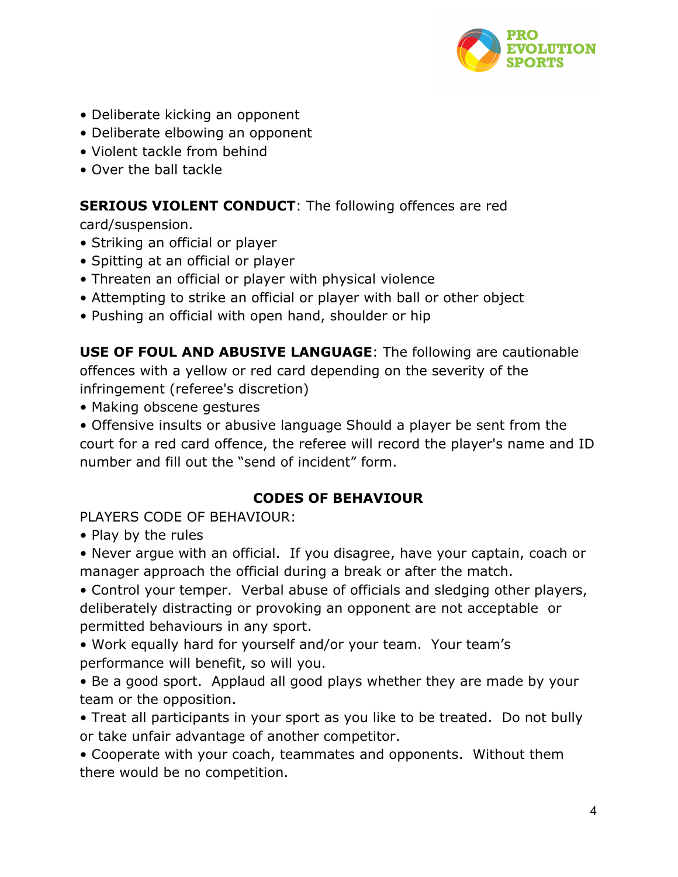

- Deliberate kicking an opponent
- Deliberate elbowing an opponent
- Violent tackle from behind
- Over the ball tackle

# **SERIOUS VIOLENT CONDUCT:** The following offences are red

card/suspension.

- Striking an official or player
- Spitting at an official or player
- Threaten an official or player with physical violence
- Attempting to strike an official or player with ball or other object
- Pushing an official with open hand, shoulder or hip

**USE OF FOUL AND ABUSIVE LANGUAGE**: The following are cautionable offences with a yellow or red card depending on the severity of the infringement (referee's discretion)

- Making obscene gestures
- Offensive insults or abusive language Should a player be sent from the court for a red card offence, the referee will record the player's name and ID number and fill out the "send of incident" form.

### **CODES OF BEHAVIOUR**

PLAYERS CODE OF BEHAVIOUR:

• Play by the rules

• Never argue with an official. If you disagree, have your captain, coach or manager approach the official during a break or after the match.

• Control your temper. Verbal abuse of officials and sledging other players, deliberately distracting or provoking an opponent are not acceptable or permitted behaviours in any sport.

- Work equally hard for yourself and/or your team. Your team's performance will benefit, so will you.
- Be a good sport. Applaud all good plays whether they are made by your team or the opposition.
- Treat all participants in your sport as you like to be treated. Do not bully or take unfair advantage of another competitor.

• Cooperate with your coach, teammates and opponents. Without them there would be no competition.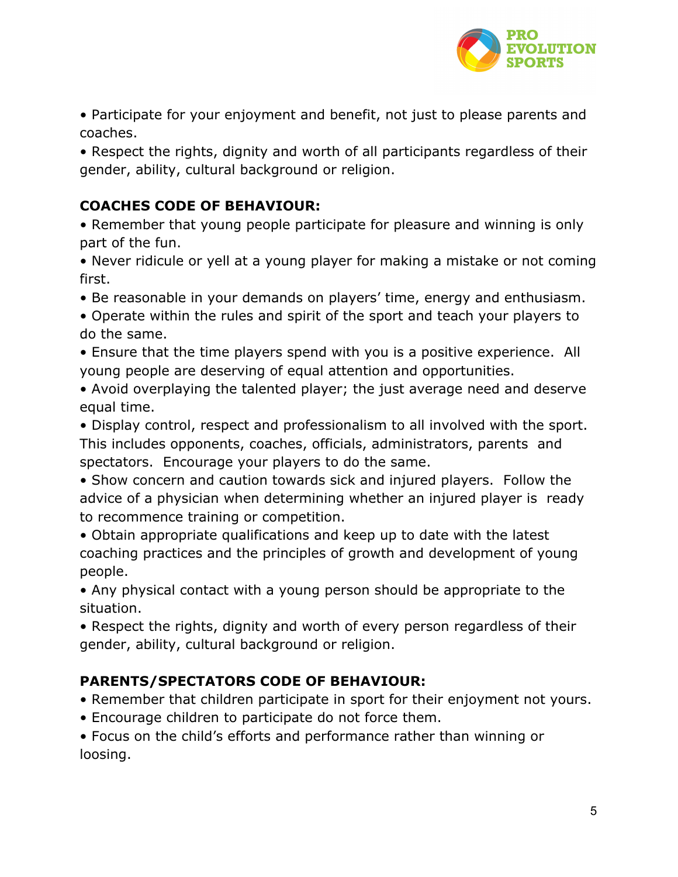

• Participate for your enjoyment and benefit, not just to please parents and coaches.

• Respect the rights, dignity and worth of all participants regardless of their gender, ability, cultural background or religion.

### **COACHES CODE OF BEHAVIOUR:**

• Remember that young people participate for pleasure and winning is only part of the fun.

• Never ridicule or yell at a young player for making a mistake or not coming first.

- Be reasonable in your demands on players' time, energy and enthusiasm.
- Operate within the rules and spirit of the sport and teach your players to do the same.
- Ensure that the time players spend with you is a positive experience. All young people are deserving of equal attention and opportunities.
- Avoid overplaying the talented player; the just average need and deserve equal time.
- Display control, respect and professionalism to all involved with the sport. This includes opponents, coaches, officials, administrators, parents and spectators. Encourage your players to do the same.
- Show concern and caution towards sick and injured players. Follow the advice of a physician when determining whether an injured player is ready to recommence training or competition.
- Obtain appropriate qualifications and keep up to date with the latest coaching practices and the principles of growth and development of young people.
- Any physical contact with a young person should be appropriate to the situation.
- Respect the rights, dignity and worth of every person regardless of their gender, ability, cultural background or religion.

### **PARENTS/SPECTATORS CODE OF BEHAVIOUR:**

- Remember that children participate in sport for their enjoyment not yours.
- Encourage children to participate do not force them.
- Focus on the child's efforts and performance rather than winning or loosing.